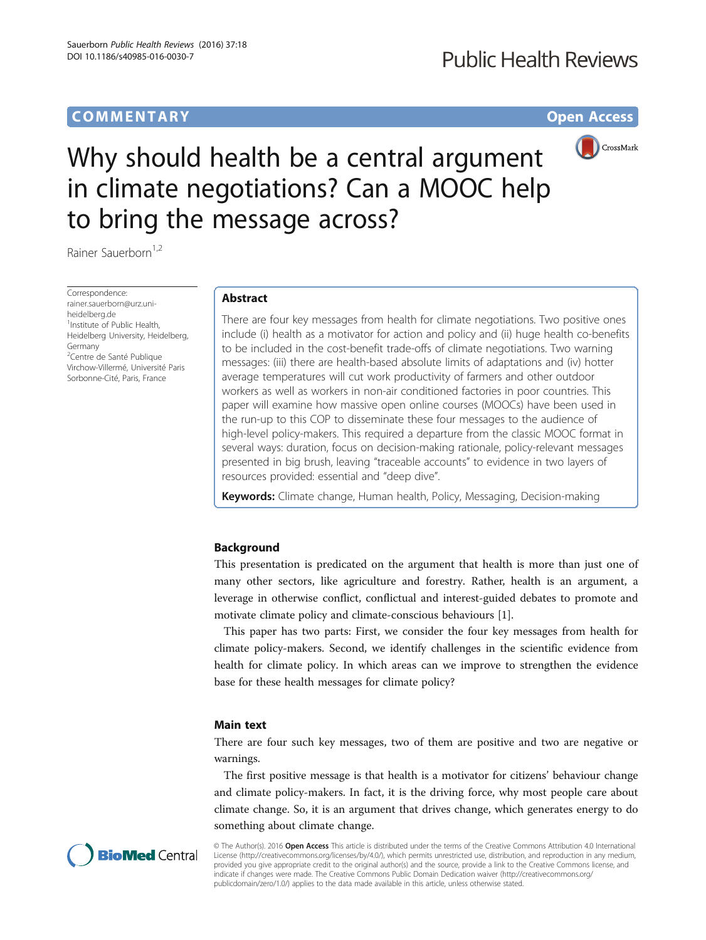## **COMMENTARY COMMENTARY Open Access**

## **Public Health Reviews**



# Why should health be a central argument in climate negotiations? Can a MOOC help to bring the message across?

Rainer Sauerborn<sup>1,2</sup>

Correspondence: [rainer.sauerborn@urz.uni](mailto:rainer.sauerborn@urz.uni-heidelberg.de)[heidelberg.de](mailto:rainer.sauerborn@urz.uni-heidelberg.de) <sup>1</sup> Institute of Public Health, Heidelberg University, Heidelberg, Germany <sup>2</sup>Centre de Santé Publique Virchow-Villermé, Université Paris Sorbonne-Cité, Paris, France

## Abstract

There are four key messages from health for climate negotiations. Two positive ones include (i) health as a motivator for action and policy and (ii) huge health co-benefits to be included in the cost-benefit trade-offs of climate negotiations. Two warning messages: (iii) there are health-based absolute limits of adaptations and (iv) hotter average temperatures will cut work productivity of farmers and other outdoor workers as well as workers in non-air conditioned factories in poor countries. This paper will examine how massive open online courses (MOOCs) have been used in the run-up to this COP to disseminate these four messages to the audience of high-level policy-makers. This required a departure from the classic MOOC format in several ways: duration, focus on decision-making rationale, policy-relevant messages presented in big brush, leaving "traceable accounts" to evidence in two layers of resources provided: essential and "deep dive".

**Keywords:** Climate change, Human health, Policy, Messaging, Decision-making

### Background

This presentation is predicated on the argument that health is more than just one of many other sectors, like agriculture and forestry. Rather, health is an argument, a leverage in otherwise conflict, conflictual and interest-guided debates to promote and motivate climate policy and climate-conscious behaviours [\[1](#page-2-0)].

This paper has two parts: First, we consider the four key messages from health for climate policy-makers. Second, we identify challenges in the scientific evidence from health for climate policy. In which areas can we improve to strengthen the evidence base for these health messages for climate policy?

### Main text

There are four such key messages, two of them are positive and two are negative or warnings.

The first positive message is that health is a motivator for citizens' behaviour change and climate policy-makers. In fact, it is the driving force, why most people care about climate change. So, it is an argument that drives change, which generates energy to do something about climate change.



© The Author(s). 2016 Open Access This article is distributed under the terms of the Creative Commons Attribution 4.0 International License ([http://creativecommons.org/licenses/by/4.0/\)](http://creativecommons.org/licenses/by/4.0/), which permits unrestricted use, distribution, and reproduction in any medium, provided you give appropriate credit to the original author(s) and the source, provide a link to the Creative Commons license, and indicate if changes were made. The Creative Commons Public Domain Dedication waiver ([http://creativecommons.org/](http://creativecommons.org/publicdomain/zero/1.0/) [publicdomain/zero/1.0/\)](http://creativecommons.org/publicdomain/zero/1.0/) applies to the data made available in this article, unless otherwise stated.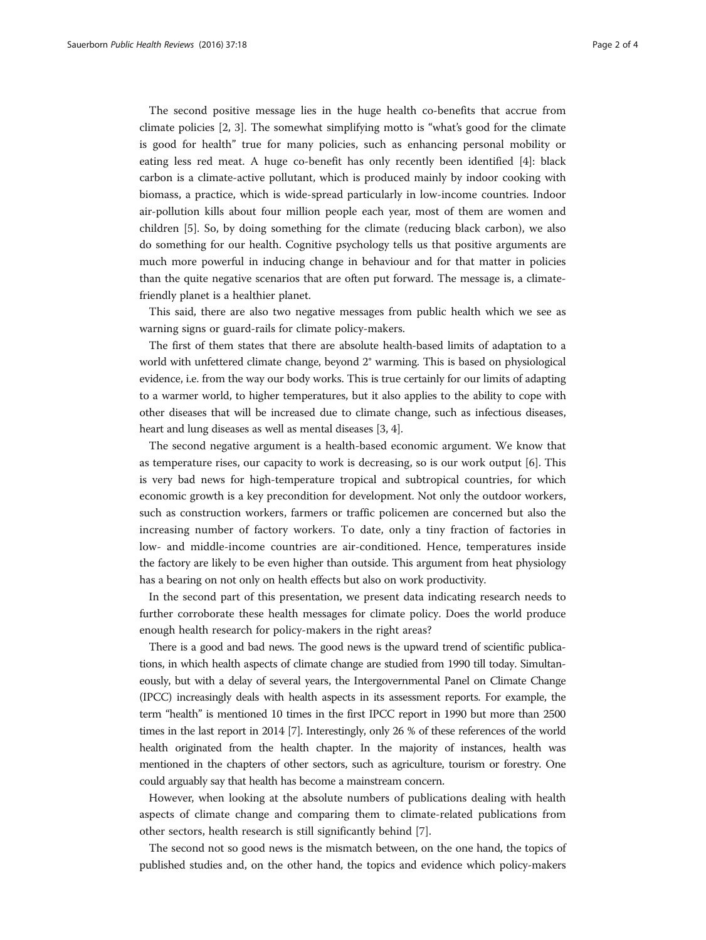The second positive message lies in the huge health co-benefits that accrue from climate policies [[2,](#page-2-0) [3\]](#page-3-0). The somewhat simplifying motto is "what's good for the climate is good for health" true for many policies, such as enhancing personal mobility or eating less red meat. A huge co-benefit has only recently been identified [\[4](#page-3-0)]: black carbon is a climate-active pollutant, which is produced mainly by indoor cooking with biomass, a practice, which is wide-spread particularly in low-income countries. Indoor air-pollution kills about four million people each year, most of them are women and children [\[5](#page-3-0)]. So, by doing something for the climate (reducing black carbon), we also do something for our health. Cognitive psychology tells us that positive arguments are much more powerful in inducing change in behaviour and for that matter in policies than the quite negative scenarios that are often put forward. The message is, a climatefriendly planet is a healthier planet.

This said, there are also two negative messages from public health which we see as warning signs or guard-rails for climate policy-makers.

The first of them states that there are absolute health-based limits of adaptation to a world with unfettered climate change, beyond 2° warming. This is based on physiological evidence, i.e. from the way our body works. This is true certainly for our limits of adapting to a warmer world, to higher temperatures, but it also applies to the ability to cope with other diseases that will be increased due to climate change, such as infectious diseases, heart and lung diseases as well as mental diseases [[3](#page-3-0), [4](#page-3-0)].

The second negative argument is a health-based economic argument. We know that as temperature rises, our capacity to work is decreasing, so is our work output [\[6](#page-3-0)]. This is very bad news for high-temperature tropical and subtropical countries, for which economic growth is a key precondition for development. Not only the outdoor workers, such as construction workers, farmers or traffic policemen are concerned but also the increasing number of factory workers. To date, only a tiny fraction of factories in low- and middle-income countries are air-conditioned. Hence, temperatures inside the factory are likely to be even higher than outside. This argument from heat physiology has a bearing on not only on health effects but also on work productivity.

In the second part of this presentation, we present data indicating research needs to further corroborate these health messages for climate policy. Does the world produce enough health research for policy-makers in the right areas?

There is a good and bad news. The good news is the upward trend of scientific publications, in which health aspects of climate change are studied from 1990 till today. Simultaneously, but with a delay of several years, the Intergovernmental Panel on Climate Change (IPCC) increasingly deals with health aspects in its assessment reports. For example, the term "health" is mentioned 10 times in the first IPCC report in 1990 but more than 2500 times in the last report in 2014 [[7\]](#page-3-0). Interestingly, only 26 % of these references of the world health originated from the health chapter. In the majority of instances, health was mentioned in the chapters of other sectors, such as agriculture, tourism or forestry. One could arguably say that health has become a mainstream concern.

However, when looking at the absolute numbers of publications dealing with health aspects of climate change and comparing them to climate-related publications from other sectors, health research is still significantly behind [[7\]](#page-3-0).

The second not so good news is the mismatch between, on the one hand, the topics of published studies and, on the other hand, the topics and evidence which policy-makers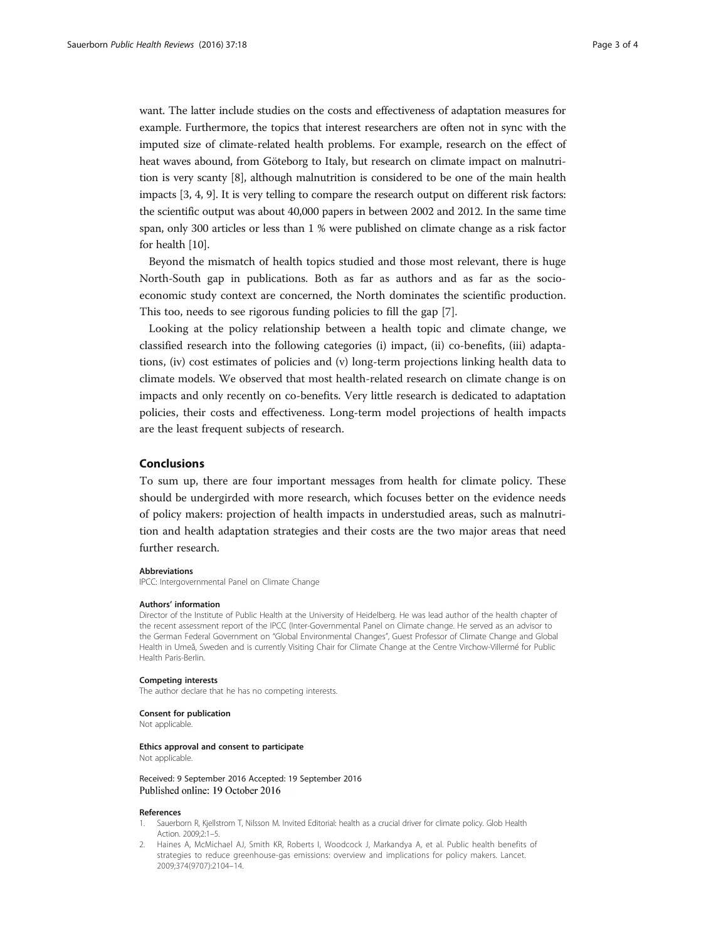<span id="page-2-0"></span>want. The latter include studies on the costs and effectiveness of adaptation measures for example. Furthermore, the topics that interest researchers are often not in sync with the imputed size of climate-related health problems. For example, research on the effect of heat waves abound, from Göteborg to Italy, but research on climate impact on malnutrition is very scanty [\[8\]](#page-3-0), although malnutrition is considered to be one of the main health impacts [[3, 4](#page-3-0), [9](#page-3-0)]. It is very telling to compare the research output on different risk factors: the scientific output was about 40,000 papers in between 2002 and 2012. In the same time span, only 300 articles or less than 1 % were published on climate change as a risk factor for health [\[10\]](#page-3-0).

Beyond the mismatch of health topics studied and those most relevant, there is huge North-South gap in publications. Both as far as authors and as far as the socioeconomic study context are concerned, the North dominates the scientific production. This too, needs to see rigorous funding policies to fill the gap [[7\]](#page-3-0).

Looking at the policy relationship between a health topic and climate change, we classified research into the following categories (i) impact, (ii) co-benefits, (iii) adaptations, (iv) cost estimates of policies and (v) long-term projections linking health data to climate models. We observed that most health-related research on climate change is on impacts and only recently on co-benefits. Very little research is dedicated to adaptation policies, their costs and effectiveness. Long-term model projections of health impacts are the least frequent subjects of research.

#### Conclusions

To sum up, there are four important messages from health for climate policy. These should be undergirded with more research, which focuses better on the evidence needs of policy makers: projection of health impacts in understudied areas, such as malnutrition and health adaptation strategies and their costs are the two major areas that need further research.

#### Abbreviations

IPCC: Intergovernmental Panel on Climate Change

#### Authors' information

Director of the Institute of Public Health at the University of Heidelberg. He was lead author of the health chapter of the recent assessment report of the IPCC (Inter-Governmental Panel on Climate change. He served as an advisor to the German Federal Government on "Global Environmental Changes", Guest Professor of Climate Change and Global Health in Umeå, Sweden and is currently Visiting Chair for Climate Change at the Centre Virchow-Villermé for Public Health Paris-Berlin.

#### Competing interests

The author declare that he has no competing interests.

#### Consent for publication

Not applicable.

#### Ethics approval and consent to participate Not applicable

Received: 9 September 2016 Accepted: 19 September 2016 Published online: 19 October 2016

#### References

- 1. Sauerborn R, Kjellstrom T, Nilsson M. Invited Editorial: health as a crucial driver for climate policy. Glob Health Action. 2009;2:1–5.
- Haines A, McMichael AJ, Smith KR, Roberts I, Woodcock J, Markandya A, et al. Public health benefits of strategies to reduce greenhouse-gas emissions: overview and implications for policy makers. Lancet. 2009;374(9707):2104–14.